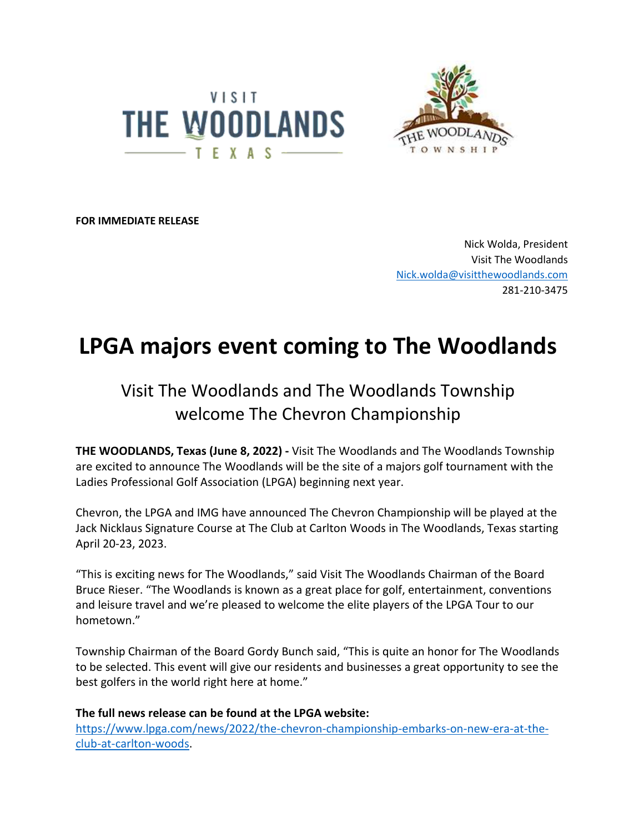



**FOR IMMEDIATE RELEASE** 

Nick Wolda, President Visit The Woodlands [Nick.wolda@visitthewoodlands.com](about:blank) 281-210-3475

## **LPGA majors event coming to The Woodlands**

## Visit The Woodlands and The Woodlands Township welcome The Chevron Championship

**THE WOODLANDS, Texas (June 8, 2022) -** Visit The Woodlands and The Woodlands Township are excited to announce The Woodlands will be the site of a majors golf tournament with the Ladies Professional Golf Association (LPGA) beginning next year.

Chevron, the LPGA and IMG have announced The Chevron Championship will be played at the Jack Nicklaus Signature Course at The Club at Carlton Woods in The Woodlands, Texas starting April 20-23, 2023.

"This is exciting news for The Woodlands," said Visit The Woodlands Chairman of the Board Bruce Rieser. "The Woodlands is known as a great place for golf, entertainment, conventions and leisure travel and we're pleased to welcome the elite players of the LPGA Tour to our hometown."

Township Chairman of the Board Gordy Bunch said, "This is quite an honor for The Woodlands to be selected. This event will give our residents and businesses a great opportunity to see the best golfers in the world right here at home."

**The full news release can be found at the LPGA website:** [https://www.lpga.com/news/2022/the-chevron-championship-embarks-on-new-era-at-the](https://www.lpga.com/news/2022/the-chevron-championship-embarks-on-new-era-at-the-club-at-carlton-woods)[club-at-carlton-woods.](https://www.lpga.com/news/2022/the-chevron-championship-embarks-on-new-era-at-the-club-at-carlton-woods)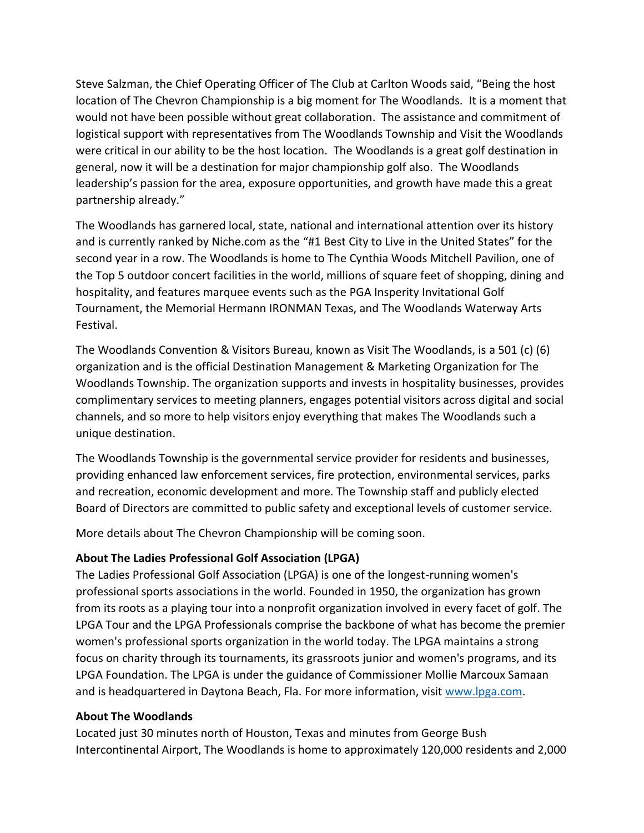Steve Salzman, the Chief Operating Officer of The Club at Carlton Woods said, "Being the host location of The Chevron Championship is a big moment for The Woodlands. It is a moment that would not have been possible without great collaboration. The assistance and commitment of logistical support with representatives from The Woodlands Township and Visit the Woodlands were critical in our ability to be the host location. The Woodlands is a great golf destination in general, now it will be a destination for major championship golf also. The Woodlands leadership's passion for the area, exposure opportunities, and growth have made this a great partnership already."

The Woodlands has garnered local, state, national and international attention over its history and is currently ranked by Niche.com as the "#1 Best City to Live in the United States" for the second year in a row. The Woodlands is home to The Cynthia Woods Mitchell Pavilion, one of the Top 5 outdoor concert facilities in the world, millions of square feet of shopping, dining and hospitality, and features marquee events such as the PGA Insperity Invitational Golf Tournament, the Memorial Hermann IRONMAN Texas, and The Woodlands Waterway Arts Festival.

The Woodlands Convention & Visitors Bureau, known as Visit The Woodlands, is a 501 (c) (6) organization and is the official Destination Management & Marketing Organization for The Woodlands Township. The organization supports and invests in hospitality businesses, provides complimentary services to meeting planners, engages potential visitors across digital and social channels, and so more to help visitors enjoy everything that makes The Woodlands such a unique destination.

The Woodlands Township is the governmental service provider for residents and businesses, providing enhanced law enforcement services, fire protection, environmental services, parks and recreation, economic development and more. The Township staff and publicly elected Board of Directors are committed to public safety and exceptional levels of customer service.

More details about The Chevron Championship will be coming soon.

## **About The Ladies Professional Golf Association (LPGA)**

The Ladies Professional Golf Association (LPGA) is one of the longest-running women's professional sports associations in the world. Founded in 1950, the organization has grown from its roots as a playing tour into a nonprofit organization involved in every facet of golf. The LPGA Tour and the LPGA Professionals comprise the backbone of what has become the premier women's professional sports organization in the world today. The LPGA maintains a strong focus on charity through its tournaments, its grassroots junior and women's programs, and its LPGA Foundation. The LPGA is under the guidance of Commissioner Mollie Marcoux Samaan and is headquartered in Daytona Beach, Fla. For more information, visit [www.lpga.com.](http://www.lpga.com/)

## **About The Woodlands**

Located just 30 minutes north of Houston, Texas and minutes from George Bush Intercontinental Airport, The Woodlands is home to approximately 120,000 residents and 2,000